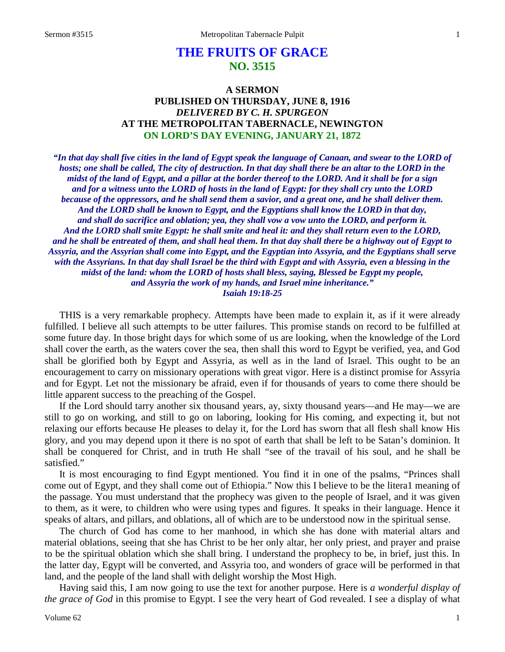# **THE FRUITS OF GRACE NO. 3515**

# **A SERMON PUBLISHED ON THURSDAY, JUNE 8, 1916** *DELIVERED BY C. H. SPURGEON* **AT THE METROPOLITAN TABERNACLE, NEWINGTON ON LORD'S DAY EVENING, JANUARY 21, 1872**

*"In that day shall five cities in the land of Egypt speak the language of Canaan, and swear to the LORD of hosts; one shall be called, The city of destruction. In that day shall there be an altar to the LORD in the midst of the land of Egypt, and a pillar at the border thereof to the LORD. And it shall be for a sign and for a witness unto the LORD of hosts in the land of Egypt: for they shall cry unto the LORD because of the oppressors, and he shall send them a savior, and a great one, and he shall deliver them. And the LORD shall be known to Egypt, and the Egyptians shall know the LORD in that day, and shall do sacrifice and oblation; yea, they shall vow a vow unto the LORD, and perform it. And the LORD shall smite Egypt: he shall smite and heal it: and they shall return even to the LORD, and he shall be entreated of them, and shall heal them. In that day shall there be a highway out of Egypt to Assyria, and the Assyrian shall come into Egypt, and the Egyptian into Assyria, and the Egyptians shall serve with the Assyrians. In that day shall Israel be the third with Egypt and with Assyria, even a blessing in the midst of the land: whom the LORD of hosts shall bless, saying, Blessed be Egypt my people, and Assyria the work of my hands, and Israel mine inheritance." Isaiah 19:18-25*

THIS is a very remarkable prophecy. Attempts have been made to explain it, as if it were already fulfilled. I believe all such attempts to be utter failures. This promise stands on record to be fulfilled at some future day. In those bright days for which some of us are looking, when the knowledge of the Lord shall cover the earth, as the waters cover the sea, then shall this word to Egypt be verified, yea, and God shall be glorified both by Egypt and Assyria, as well as in the land of Israel. This ought to be an encouragement to carry on missionary operations with great vigor. Here is a distinct promise for Assyria and for Egypt. Let not the missionary be afraid, even if for thousands of years to come there should be little apparent success to the preaching of the Gospel.

If the Lord should tarry another six thousand years, ay, sixty thousand years—and He may—we are still to go on working, and still to go on laboring, looking for His coming, and expecting it, but not relaxing our efforts because He pleases to delay it, for the Lord has sworn that all flesh shall know His glory, and you may depend upon it there is no spot of earth that shall be left to be Satan's dominion. It shall be conquered for Christ, and in truth He shall "see of the travail of his soul, and he shall be satisfied."

It is most encouraging to find Egypt mentioned. You find it in one of the psalms, "Princes shall come out of Egypt, and they shall come out of Ethiopia." Now this I believe to be the litera1 meaning of the passage. You must understand that the prophecy was given to the people of Israel, and it was given to them, as it were, to children who were using types and figures. It speaks in their language. Hence it speaks of altars, and pillars, and oblations, all of which are to be understood now in the spiritual sense.

The church of God has come to her manhood, in which she has done with material altars and material oblations, seeing that she has Christ to be her only altar, her only priest, and prayer and praise to be the spiritual oblation which she shall bring. I understand the prophecy to be, in brief, just this. In the latter day, Egypt will be converted, and Assyria too, and wonders of grace will be performed in that land, and the people of the land shall with delight worship the Most High.

Having said this, I am now going to use the text for another purpose. Here is *a wonderful display of the grace of God* in this promise to Egypt. I see the very heart of God revealed. I see a display of what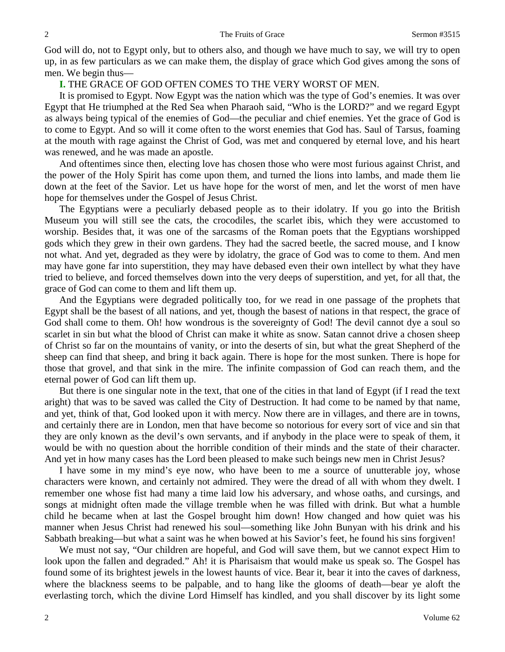God will do, not to Egypt only, but to others also, and though we have much to say, we will try to open up, in as few particulars as we can make them, the display of grace which God gives among the sons of men. We begin thus—

# **I.** THE GRACE OF GOD OFTEN COMES TO THE VERY WORST OF MEN.

It is promised to Egypt. Now Egypt was the nation which was the type of God's enemies. It was over Egypt that He triumphed at the Red Sea when Pharaoh said, "Who is the LORD?" and we regard Egypt as always being typical of the enemies of God—the peculiar and chief enemies. Yet the grace of God is to come to Egypt. And so will it come often to the worst enemies that God has. Saul of Tarsus, foaming at the mouth with rage against the Christ of God, was met and conquered by eternal love, and his heart was renewed, and he was made an apostle.

And oftentimes since then, electing love has chosen those who were most furious against Christ, and the power of the Holy Spirit has come upon them, and turned the lions into lambs, and made them lie down at the feet of the Savior. Let us have hope for the worst of men, and let the worst of men have hope for themselves under the Gospel of Jesus Christ.

The Egyptians were a peculiarly debased people as to their idolatry. If you go into the British Museum you will still see the cats, the crocodiles, the scarlet ibis, which they were accustomed to worship. Besides that, it was one of the sarcasms of the Roman poets that the Egyptians worshipped gods which they grew in their own gardens. They had the sacred beetle, the sacred mouse, and I know not what. And yet, degraded as they were by idolatry, the grace of God was to come to them. And men may have gone far into superstition, they may have debased even their own intellect by what they have tried to believe, and forced themselves down into the very deeps of superstition, and yet, for all that, the grace of God can come to them and lift them up.

And the Egyptians were degraded politically too, for we read in one passage of the prophets that Egypt shall be the basest of all nations, and yet, though the basest of nations in that respect, the grace of God shall come to them. Oh! how wondrous is the sovereignty of God! The devil cannot dye a soul so scarlet in sin but what the blood of Christ can make it white as snow. Satan cannot drive a chosen sheep of Christ so far on the mountains of vanity, or into the deserts of sin, but what the great Shepherd of the sheep can find that sheep, and bring it back again. There is hope for the most sunken. There is hope for those that grovel, and that sink in the mire. The infinite compassion of God can reach them, and the eternal power of God can lift them up.

But there is one singular note in the text, that one of the cities in that land of Egypt (if I read the text aright) that was to be saved was called the City of Destruction. It had come to be named by that name, and yet, think of that, God looked upon it with mercy. Now there are in villages, and there are in towns, and certainly there are in London, men that have become so notorious for every sort of vice and sin that they are only known as the devil's own servants, and if anybody in the place were to speak of them, it would be with no question about the horrible condition of their minds and the state of their character. And yet in how many cases has the Lord been pleased to make such beings new men in Christ Jesus?

I have some in my mind's eye now, who have been to me a source of unutterable joy, whose characters were known, and certainly not admired. They were the dread of all with whom they dwelt. I remember one whose fist had many a time laid low his adversary, and whose oaths, and cursings, and songs at midnight often made the village tremble when he was filled with drink. But what a humble child he became when at last the Gospel brought him down! How changed and how quiet was his manner when Jesus Christ had renewed his soul—something like John Bunyan with his drink and his Sabbath breaking—but what a saint was he when bowed at his Savior's feet, he found his sins forgiven!

We must not say, "Our children are hopeful, and God will save them, but we cannot expect Him to look upon the fallen and degraded." Ah! it is Pharisaism that would make us speak so. The Gospel has found some of its brightest jewels in the lowest haunts of vice. Bear it, bear it into the caves of darkness, where the blackness seems to be palpable, and to hang like the glooms of death—bear ye aloft the everlasting torch, which the divine Lord Himself has kindled, and you shall discover by its light some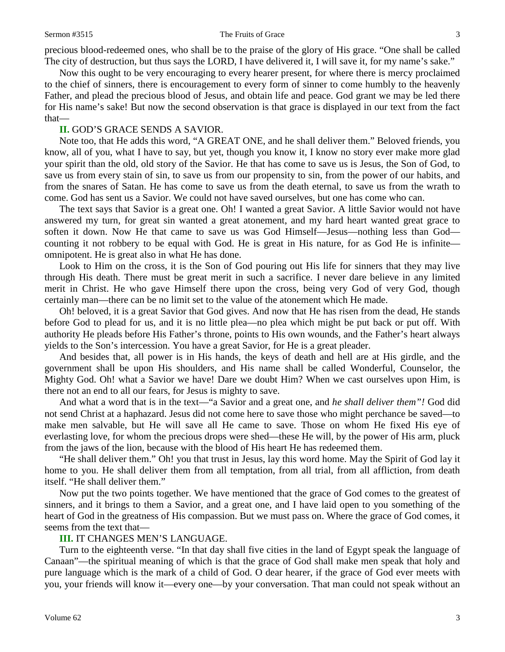#### Sermon #3515 The Fruits of Grace 3

precious blood-redeemed ones, who shall be to the praise of the glory of His grace. "One shall be called The city of destruction, but thus says the LORD, I have delivered it, I will save it, for my name's sake."

Now this ought to be very encouraging to every hearer present, for where there is mercy proclaimed to the chief of sinners, there is encouragement to every form of sinner to come humbly to the heavenly Father, and plead the precious blood of Jesus, and obtain life and peace. God grant we may be led there for His name's sake! But now the second observation is that grace is displayed in our text from the fact that—

# **II.** GOD'S GRACE SENDS A SAVIOR.

Note too, that He adds this word, "A GREAT ONE, and he shall deliver them." Beloved friends, you know, all of you, what I have to say, but yet, though you know it, I know no story ever make more glad your spirit than the old, old story of the Savior. He that has come to save us is Jesus, the Son of God, to save us from every stain of sin, to save us from our propensity to sin, from the power of our habits, and from the snares of Satan. He has come to save us from the death eternal, to save us from the wrath to come. God has sent us a Savior. We could not have saved ourselves, but one has come who can.

The text says that Savior is a great one. Oh! I wanted a great Savior. A little Savior would not have answered my turn, for great sin wanted a great atonement, and my hard heart wanted great grace to soften it down. Now He that came to save us was God Himself—Jesus—nothing less than God counting it not robbery to be equal with God. He is great in His nature, for as God He is infinite omnipotent. He is great also in what He has done.

Look to Him on the cross, it is the Son of God pouring out His life for sinners that they may live through His death. There must be great merit in such a sacrifice. I never dare believe in any limited merit in Christ. He who gave Himself there upon the cross, being very God of very God, though certainly man—there can be no limit set to the value of the atonement which He made.

Oh! beloved, it is a great Savior that God gives. And now that He has risen from the dead, He stands before God to plead for us, and it is no little plea—no plea which might be put back or put off. With authority He pleads before His Father's throne, points to His own wounds, and the Father's heart always yields to the Son's intercession. You have a great Savior, for He is a great pleader.

And besides that, all power is in His hands, the keys of death and hell are at His girdle, and the government shall be upon His shoulders, and His name shall be called Wonderful, Counselor, the Mighty God. Oh! what a Savior we have! Dare we doubt Him? When we cast ourselves upon Him, is there not an end to all our fears, for Jesus is mighty to save.

And what a word that is in the text—"a Savior and a great one, and *he shall deliver them"!* God did not send Christ at a haphazard. Jesus did not come here to save those who might perchance be saved—to make men salvable, but He will save all He came to save. Those on whom He fixed His eye of everlasting love, for whom the precious drops were shed—these He will, by the power of His arm, pluck from the jaws of the lion, because with the blood of His heart He has redeemed them.

"He shall deliver them." Oh! you that trust in Jesus, lay this word home. May the Spirit of God lay it home to you. He shall deliver them from all temptation, from all trial, from all affliction, from death itself. "He shall deliver them."

Now put the two points together. We have mentioned that the grace of God comes to the greatest of sinners, and it brings to them a Savior, and a great one, and I have laid open to you something of the heart of God in the greatness of His compassion. But we must pass on. Where the grace of God comes, it seems from the text that—

# **III.** IT CHANGES MEN'S LANGUAGE.

Turn to the eighteenth verse. "In that day shall five cities in the land of Egypt speak the language of Canaan"—the spiritual meaning of which is that the grace of God shall make men speak that holy and pure language which is the mark of a child of God. O dear hearer, if the grace of God ever meets with you, your friends will know it—every one—by your conversation. That man could not speak without an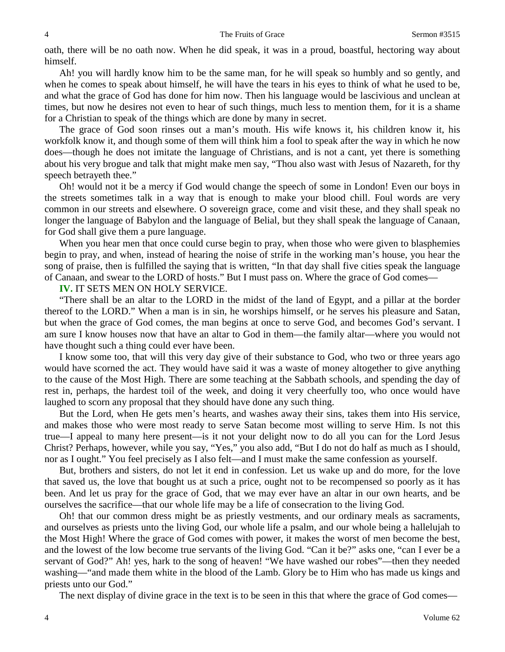oath, there will be no oath now. When he did speak, it was in a proud, boastful, hectoring way about himself.

Ah! you will hardly know him to be the same man, for he will speak so humbly and so gently, and when he comes to speak about himself, he will have the tears in his eyes to think of what he used to be, and what the grace of God has done for him now. Then his language would be lascivious and unclean at times, but now he desires not even to hear of such things, much less to mention them, for it is a shame for a Christian to speak of the things which are done by many in secret.

The grace of God soon rinses out a man's mouth. His wife knows it, his children know it, his workfolk know it, and though some of them will think him a fool to speak after the way in which he now does—though he does not imitate the language of Christians, and is not a cant, yet there is something about his very brogue and talk that might make men say, "Thou also wast with Jesus of Nazareth, for thy speech betrayeth thee."

Oh! would not it be a mercy if God would change the speech of some in London! Even our boys in the streets sometimes talk in a way that is enough to make your blood chill. Foul words are very common in our streets and elsewhere. O sovereign grace, come and visit these, and they shall speak no longer the language of Babylon and the language of Belial, but they shall speak the language of Canaan, for God shall give them a pure language.

When you hear men that once could curse begin to pray, when those who were given to blasphemies begin to pray, and when, instead of hearing the noise of strife in the working man's house, you hear the song of praise, then is fulfilled the saying that is written, "In that day shall five cities speak the language of Canaan, and swear to the LORD of hosts." But I must pass on. Where the grace of God comes—

### **IV.** IT SETS MEN ON HOLY SERVICE.

"There shall be an altar to the LORD in the midst of the land of Egypt, and a pillar at the border thereof to the LORD." When a man is in sin, he worships himself, or he serves his pleasure and Satan, but when the grace of God comes, the man begins at once to serve God, and becomes God's servant. I am sure I know houses now that have an altar to God in them—the family altar—where you would not have thought such a thing could ever have been.

I know some too, that will this very day give of their substance to God, who two or three years ago would have scorned the act. They would have said it was a waste of money altogether to give anything to the cause of the Most High. There are some teaching at the Sabbath schools, and spending the day of rest in, perhaps, the hardest toil of the week, and doing it very cheerfully too, who once would have laughed to scorn any proposal that they should have done any such thing.

But the Lord, when He gets men's hearts, and washes away their sins, takes them into His service, and makes those who were most ready to serve Satan become most willing to serve Him. Is not this true—I appeal to many here present—is it not your delight now to do all you can for the Lord Jesus Christ? Perhaps, however, while you say, "Yes," you also add, "But I do not do half as much as I should, nor as I ought." You feel precisely as I also felt—and I must make the same confession as yourself.

But, brothers and sisters, do not let it end in confession. Let us wake up and do more, for the love that saved us, the love that bought us at such a price, ought not to be recompensed so poorly as it has been. And let us pray for the grace of God, that we may ever have an altar in our own hearts, and be ourselves the sacrifice—that our whole life may be a life of consecration to the living God.

Oh! that our common dress might be as priestly vestments, and our ordinary meals as sacraments, and ourselves as priests unto the living God, our whole life a psalm, and our whole being a hallelujah to the Most High! Where the grace of God comes with power, it makes the worst of men become the best, and the lowest of the low become true servants of the living God. "Can it be?" asks one, "can I ever be a servant of God?" Ah! yes, hark to the song of heaven! "We have washed our robes"—then they needed washing—"and made them white in the blood of the Lamb. Glory be to Him who has made us kings and priests unto our God."

The next display of divine grace in the text is to be seen in this that where the grace of God comes—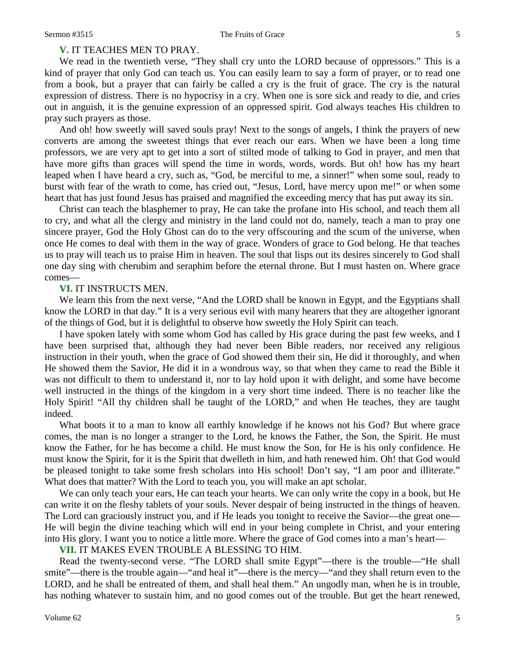# **V.** IT TEACHES MEN TO PRAY.

We read in the twentieth verse, "They shall cry unto the LORD because of oppressors." This is a kind of prayer that only God can teach us. You can easily learn to say a form of prayer, or to read one from a book, but a prayer that can fairly be called a cry is the fruit of grace. The cry is the natural expression of distress. There is no hypocrisy in a cry. When one is sore sick and ready to die, and cries out in anguish, it is the genuine expression of an oppressed spirit. God always teaches His children to pray such prayers as those.

And oh! how sweetly will saved souls pray! Next to the songs of angels, I think the prayers of new converts are among the sweetest things that ever reach our ears. When we have been a long time professors, we are very apt to get into a sort of stilted mode of talking to God in prayer, and men that have more gifts than graces will spend the time in words, words, words. But oh! how has my heart leaped when I have heard a cry, such as, "God, be merciful to me, a sinner!" when some soul, ready to burst with fear of the wrath to come, has cried out, "Jesus, Lord, have mercy upon me!" or when some heart that has just found Jesus has praised and magnified the exceeding mercy that has put away its sin.

Christ can teach the blasphemer to pray, He can take the profane into His school, and teach them all to cry, and what all the clergy and ministry in the land could not do, namely, teach a man to pray one sincere prayer, God the Holy Ghost can do to the very offscouring and the scum of the universe, when once He comes to deal with them in the way of grace. Wonders of grace to God belong. He that teaches us to pray will teach us to praise Him in heaven. The soul that lisps out its desires sincerely to God shall one day sing with cherubim and seraphim before the eternal throne. But I must hasten on. Where grace comes—

#### **VI.** IT INSTRUCTS MEN.

We learn this from the next verse, "And the LORD shall be known in Egypt, and the Egyptians shall know the LORD in that day." It is a very serious evil with many hearers that they are altogether ignorant of the things of God, but it is delightful to observe how sweetly the Holy Spirit can teach.

I have spoken lately with some whom God has called by His grace during the past few weeks, and I have been surprised that, although they had never been Bible readers, nor received any religious instruction in their youth, when the grace of God showed them their sin, He did it thoroughly, and when He showed them the Savior, He did it in a wondrous way, so that when they came to read the Bible it was not difficult to them to understand it, nor to lay hold upon it with delight, and some have become well instructed in the things of the kingdom in a very short time indeed. There is no teacher like the Holy Spirit! "All thy children shall be taught of the LORD," and when He teaches, they are taught indeed.

What boots it to a man to know all earthly knowledge if he knows not his God? But where grace comes, the man is no longer a stranger to the Lord, he knows the Father, the Son, the Spirit. He must know the Father, for he has become a child. He must know the Son, for He is his only confidence. He must know the Spirit, for it is the Spirit that dwelleth in him, and hath renewed him. Oh! that God would be pleased tonight to take some fresh scholars into His school! Don't say, "I am poor and illiterate." What does that matter? With the Lord to teach you, you will make an apt scholar.

We can only teach your ears, He can teach your hearts. We can only write the copy in a book, but He can write it on the fleshy tablets of your souls. Never despair of being instructed in the things of heaven. The Lord can graciously instruct you, and if He leads you tonight to receive the Savior—the great one— He will begin the divine teaching which will end in your being complete in Christ, and your entering into His glory. I want you to notice a little more. Where the grace of God comes into a man's heart—

#### **VII.** IT MAKES EVEN TROUBLE A BLESSING TO HIM.

Read the twenty-second verse. "The LORD shall smite Egypt"—there is the trouble—"He shall smite"—there is the trouble again—"and heal it"—there is the mercy—"and they shall return even to the LORD, and he shall be entreated of them, and shall heal them." An ungodly man, when he is in trouble, has nothing whatever to sustain him, and no good comes out of the trouble. But get the heart renewed,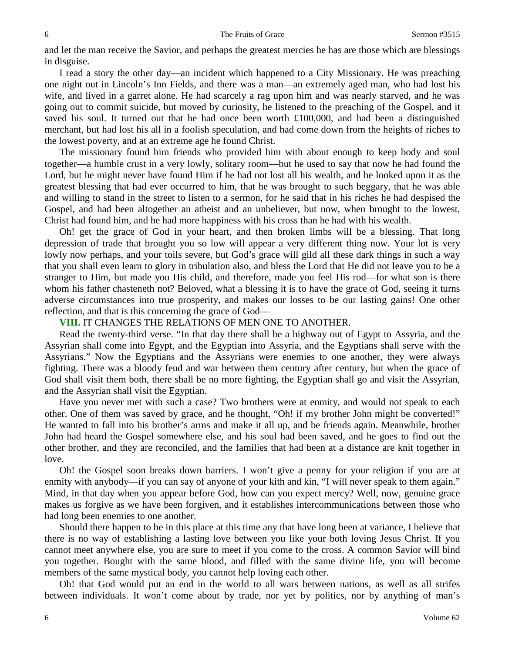and let the man receive the Savior, and perhaps the greatest mercies he has are those which are blessings in disguise.

I read a story the other day—an incident which happened to a City Missionary. He was preaching one night out in Lincoln's Inn Fields, and there was a man—an extremely aged man, who had lost his wife, and lived in a garret alone. He had scarcely a rag upon him and was nearly starved, and he was going out to commit suicide, but moved by curiosity, he listened to the preaching of the Gospel, and it saved his soul. It turned out that he had once been worth  $£100,000$ , and had been a distinguished merchant, but had lost his all in a foolish speculation, and had come down from the heights of riches to the lowest poverty, and at an extreme age he found Christ.

The missionary found him friends who provided him with about enough to keep body and soul together—a humble crust in a very lowly, solitary room—but he used to say that now he had found the Lord, but he might never have found Him if he had not lost all his wealth, and he looked upon it as the greatest blessing that had ever occurred to him, that he was brought to such beggary, that he was able and willing to stand in the street to listen to a sermon, for he said that in his riches he had despised the Gospel, and had been altogether an atheist and an unbeliever, but now, when brought to the lowest, Christ had found him, and he had more happiness with his cross than he had with his wealth.

Oh! get the grace of God in your heart, and then broken limbs will be a blessing. That long depression of trade that brought you so low will appear a very different thing now. Your lot is very lowly now perhaps, and your toils severe, but God's grace will gild all these dark things in such a way that you shall even learn to glory in tribulation also, and bless the Lord that He did not leave you to be a stranger to Him, but made you His child, and therefore, made you feel His rod—for what son is there whom his father chasteneth not? Beloved, what a blessing it is to have the grace of God, seeing it turns adverse circumstances into true prosperity, and makes our losses to be our lasting gains! One other reflection, and that is this concerning the grace of God—

**VIII.** IT CHANGES THE RELATIONS OF MEN ONE TO ANOTHER.

Read the twenty-third verse. "In that day there shall be a highway out of Egypt to Assyria, and the Assyrian shall come into Egypt, and the Egyptian into Assyria, and the Egyptians shall serve with the Assyrians." Now the Egyptians and the Assyrians were enemies to one another, they were always fighting. There was a bloody feud and war between them century after century, but when the grace of God shall visit them both, there shall be no more fighting, the Egyptian shall go and visit the Assyrian, and the Assyrian shall visit the Egyptian.

Have you never met with such a case? Two brothers were at enmity, and would not speak to each other. One of them was saved by grace, and he thought, "Oh! if my brother John might be converted!" He wanted to fall into his brother's arms and make it all up, and be friends again. Meanwhile, brother John had heard the Gospel somewhere else, and his soul had been saved, and he goes to find out the other brother, and they are reconciled, and the families that had been at a distance are knit together in love.

Oh! the Gospel soon breaks down barriers. I won't give a penny for your religion if you are at enmity with anybody—if you can say of anyone of your kith and kin, "I will never speak to them again." Mind, in that day when you appear before God, how can you expect mercy? Well, now, genuine grace makes us forgive as we have been forgiven, and it establishes intercommunications between those who had long been enemies to one another.

Should there happen to be in this place at this time any that have long been at variance, I believe that there is no way of establishing a lasting love between you like your both loving Jesus Christ. If you cannot meet anywhere else, you are sure to meet if you come to the cross. A common Savior will bind you together. Bought with the same blood, and filled with the same divine life, you will become members of the same mystical body, you cannot help loving each other.

Oh! that God would put an end in the world to all wars between nations, as well as all strifes between individuals. It won't come about by trade, nor yet by politics, nor by anything of man's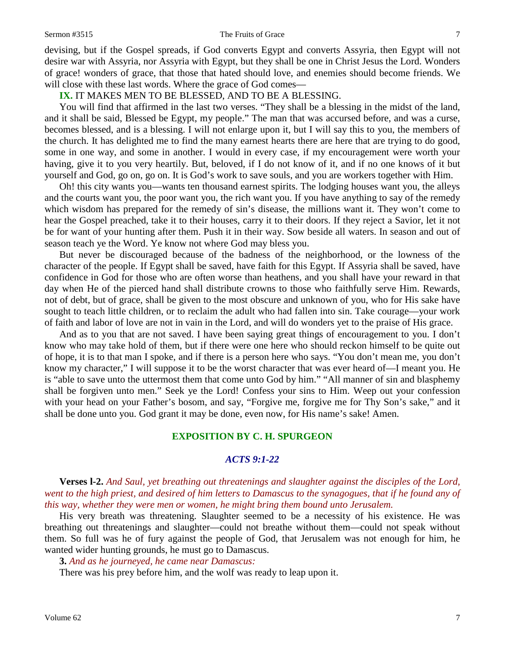#### Sermon #3515 The Fruits of Grace 7

devising, but if the Gospel spreads, if God converts Egypt and converts Assyria, then Egypt will not desire war with Assyria, nor Assyria with Egypt, but they shall be one in Christ Jesus the Lord. Wonders of grace! wonders of grace, that those that hated should love, and enemies should become friends. We will close with these last words. Where the grace of God comes—

# **IX.** IT MAKES MEN TO BE BLESSED, AND TO BE A BLESSING.

You will find that affirmed in the last two verses. "They shall be a blessing in the midst of the land, and it shall be said, Blessed be Egypt, my people." The man that was accursed before, and was a curse, becomes blessed, and is a blessing. I will not enlarge upon it, but I will say this to you, the members of the church. It has delighted me to find the many earnest hearts there are here that are trying to do good, some in one way, and some in another. I would in every case, if my encouragement were worth your having, give it to you very heartily. But, beloved, if I do not know of it, and if no one knows of it but yourself and God, go on, go on. It is God's work to save souls, and you are workers together with Him.

Oh! this city wants you—wants ten thousand earnest spirits. The lodging houses want you, the alleys and the courts want you, the poor want you, the rich want you. If you have anything to say of the remedy which wisdom has prepared for the remedy of sin's disease, the millions want it. They won't come to hear the Gospel preached, take it to their houses, carry it to their doors. If they reject a Savior, let it not be for want of your hunting after them. Push it in their way. Sow beside all waters. In season and out of season teach ye the Word. Ye know not where God may bless you.

But never be discouraged because of the badness of the neighborhood, or the lowness of the character of the people. If Egypt shall be saved, have faith for this Egypt. If Assyria shall be saved, have confidence in God for those who are often worse than heathens, and you shall have your reward in that day when He of the pierced hand shall distribute crowns to those who faithfully serve Him. Rewards, not of debt, but of grace, shall be given to the most obscure and unknown of you, who for His sake have sought to teach little children, or to reclaim the adult who had fallen into sin. Take courage—your work of faith and labor of love are not in vain in the Lord, and will do wonders yet to the praise of His grace.

And as to you that are not saved. I have been saying great things of encouragement to you. I don't know who may take hold of them, but if there were one here who should reckon himself to be quite out of hope, it is to that man I spoke, and if there is a person here who says. "You don't mean me, you don't know my character," I will suppose it to be the worst character that was ever heard of—I meant you. He is "able to save unto the uttermost them that come unto God by him." "All manner of sin and blasphemy shall be forgiven unto men." Seek ye the Lord! Confess your sins to Him. Weep out your confession with your head on your Father's bosom, and say, "Forgive me, forgive me for Thy Son's sake," and it shall be done unto you. God grant it may be done, even now, for His name's sake! Amen.

# **EXPOSITION BY C. H. SPURGEON**

# *ACTS 9:1-22*

**Verses l-2.** *And Saul, yet breathing out threatenings and slaughter against the disciples of the Lord, went to the high priest, and desired of him letters to Damascus to the synagogues, that if he found any of this way, whether they were men or women, he might bring them bound unto Jerusalem.* 

His very breath was threatening. Slaughter seemed to be a necessity of his existence. He was breathing out threatenings and slaughter—could not breathe without them—could not speak without them. So full was he of fury against the people of God, that Jerusalem was not enough for him, he wanted wider hunting grounds, he must go to Damascus.

**3.** *And as he journeyed, he came near Damascus:*

There was his prey before him, and the wolf was ready to leap upon it.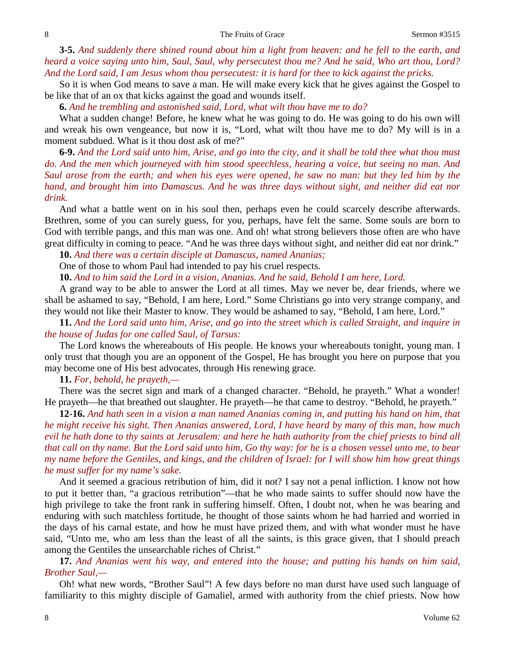**3-5.** *And suddenly there shined round about him a light from heaven: and he fell to the earth, and heard a voice saying unto him, Saul, Saul, why persecutest thou me? And he said, Who art thou, Lord? And the Lord said, I am Jesus whom thou persecutest: it is hard for thee to kick against the pricks.* 

So it is when God means to save a man. He will make every kick that he gives against the Gospel to be like that of an ox that kicks against the goad and wounds itself.

**6.** *And he trembling and astonished said, Lord, what wilt thou have me to do?* 

What a sudden change! Before, he knew what he was going to do. He was going to do his own will and wreak his own vengeance, but now it is, "Lord, what wilt thou have me to do? My will is in a moment subdued. What is it thou dost ask of me?"

**6-9.** *And the Lord said unto him, Arise, and go into the city, and it shall be told thee what thou must do. And the men which journeyed with him stood speechless, hearing a voice, but seeing no man. And Saul arose from the earth; and when his eyes were opened, he saw no man: but they led him by the hand, and brought him into Damascus. And he was three days without sight, and neither did eat nor drink.* 

And what a battle went on in his soul then, perhaps even he could scarcely describe afterwards. Brethren, some of you can surely guess, for you, perhaps, have felt the same. Some souls are born to God with terrible pangs, and this man was one. And oh! what strong believers those often are who have great difficulty in coming to peace. "And he was three days without sight, and neither did eat nor drink."

**10.** *And there was a certain disciple at Damascus, named Ananias;*

One of those to whom Paul had intended to pay his cruel respects.

**10.** *And to him said the Lord in a vision, Ananias. And he said, Behold I am here, Lord.* 

A grand way to be able to answer the Lord at all times. May we never be, dear friends, where we shall be ashamed to say, "Behold, I am here, Lord." Some Christians go into very strange company, and they would not like their Master to know. They would be ashamed to say, "Behold, I am here, Lord."

**11.** *And the Lord said unto him, Arise, and go into the street which is called Straight, and inquire in the house of Judas for one called Saul, of Tarsus:*

The Lord knows the whereabouts of His people. He knows your whereabouts tonight, young man. I only trust that though you are an opponent of the Gospel, He has brought you here on purpose that you may become one of His best advocates, through His renewing grace.

**11.** *For, behold, he prayeth,—*

There was the secret sign and mark of a changed character. "Behold, he prayeth." What a wonder! He prayeth—he that breathed out slaughter. He prayeth—he that came to destroy. "Behold, he prayeth."

**12-16.** *And hath seen in a vision a man named Ananias coming in, and putting his hand on him, that he might receive his sight. Then Ananias answered, Lord, I have heard by many of this man, how much evil he hath done to thy saints at Jerusalem: and here he hath authority from the chief priests to bind all that call on thy name. But the Lord said unto him, Go thy way: for he is a chosen vessel unto me, to bear my name before the Gentiles, and kings, and the children of Israel: for I will show him how great things he must suffer for my name's sake.* 

And it seemed a gracious retribution of him, did it not? I say not a penal infliction. I know not how to put it better than, "a gracious retribution"—that he who made saints to suffer should now have the high privilege to take the front rank in suffering himself. Often, I doubt not, when he was bearing and enduring with such matchless fortitude, he thought of those saints whom he had harried and worried in the days of his carnal estate, and how he must have prized them, and with what wonder must he have said, "Unto me, who am less than the least of all the saints, is this grace given, that I should preach among the Gentiles the unsearchable riches of Christ."

**17.** *And Ananias went his way, and entered into the house; and putting his hands on him said, Brother Saul,—*

Oh! what new words, "Brother Saul"! A few days before no man durst have used such language of familiarity to this mighty disciple of Gamaliel, armed with authority from the chief priests. Now how